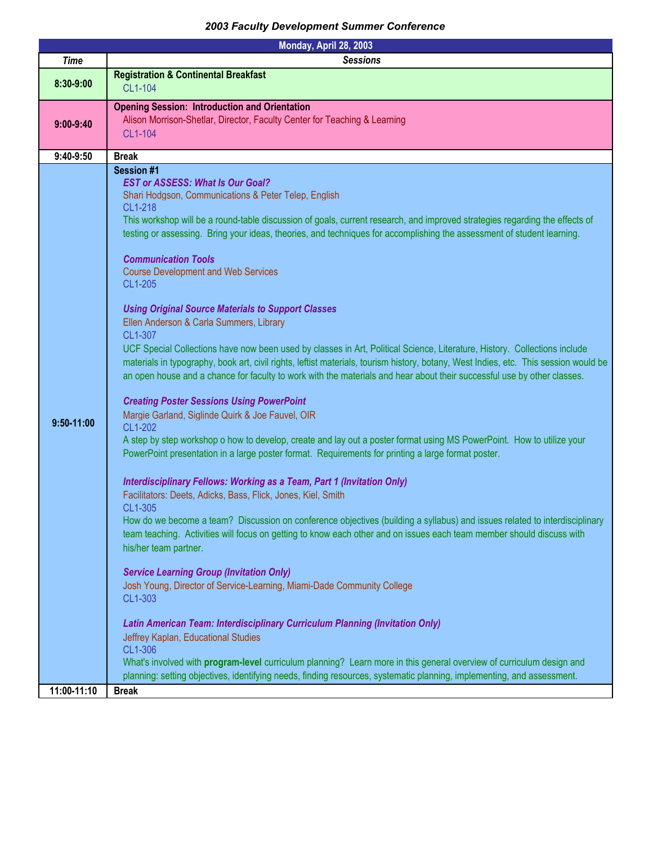## *2003 Faculty Development Summer Conference*

| Monday, April 28, 2003 |                                                                                                                                                                                                                                                                                                                                                                                                                                                                                                                                                                                                                                                                                                                                                                                                                                                                                                                                                                                                                                                                                                                                                                                                                                                                                                                                                                                                                                                                                                                                                                                                                                                                                                                                                                                                                                                                                                                                                                                                                                                                                                                                                                                                                                                                                                                   |
|------------------------|-------------------------------------------------------------------------------------------------------------------------------------------------------------------------------------------------------------------------------------------------------------------------------------------------------------------------------------------------------------------------------------------------------------------------------------------------------------------------------------------------------------------------------------------------------------------------------------------------------------------------------------------------------------------------------------------------------------------------------------------------------------------------------------------------------------------------------------------------------------------------------------------------------------------------------------------------------------------------------------------------------------------------------------------------------------------------------------------------------------------------------------------------------------------------------------------------------------------------------------------------------------------------------------------------------------------------------------------------------------------------------------------------------------------------------------------------------------------------------------------------------------------------------------------------------------------------------------------------------------------------------------------------------------------------------------------------------------------------------------------------------------------------------------------------------------------------------------------------------------------------------------------------------------------------------------------------------------------------------------------------------------------------------------------------------------------------------------------------------------------------------------------------------------------------------------------------------------------------------------------------------------------------------------------------------------------|
| <b>Time</b>            | <b>Sessions</b>                                                                                                                                                                                                                                                                                                                                                                                                                                                                                                                                                                                                                                                                                                                                                                                                                                                                                                                                                                                                                                                                                                                                                                                                                                                                                                                                                                                                                                                                                                                                                                                                                                                                                                                                                                                                                                                                                                                                                                                                                                                                                                                                                                                                                                                                                                   |
| 8:30-9:00              | <b>Registration &amp; Continental Breakfast</b><br>CL1-104                                                                                                                                                                                                                                                                                                                                                                                                                                                                                                                                                                                                                                                                                                                                                                                                                                                                                                                                                                                                                                                                                                                                                                                                                                                                                                                                                                                                                                                                                                                                                                                                                                                                                                                                                                                                                                                                                                                                                                                                                                                                                                                                                                                                                                                        |
| $9:00 - 9:40$          | <b>Opening Session: Introduction and Orientation</b><br>Alison Morrison-Shetlar, Director, Faculty Center for Teaching & Learning<br>CL1-104                                                                                                                                                                                                                                                                                                                                                                                                                                                                                                                                                                                                                                                                                                                                                                                                                                                                                                                                                                                                                                                                                                                                                                                                                                                                                                                                                                                                                                                                                                                                                                                                                                                                                                                                                                                                                                                                                                                                                                                                                                                                                                                                                                      |
| 9:40-9:50              | <b>Break</b>                                                                                                                                                                                                                                                                                                                                                                                                                                                                                                                                                                                                                                                                                                                                                                                                                                                                                                                                                                                                                                                                                                                                                                                                                                                                                                                                                                                                                                                                                                                                                                                                                                                                                                                                                                                                                                                                                                                                                                                                                                                                                                                                                                                                                                                                                                      |
| $9:50 - 11:00$         | Session #1<br><b>EST or ASSESS: What Is Our Goal?</b><br>Shari Hodgson, Communications & Peter Telep, English<br>CL1-218<br>This workshop will be a round-table discussion of goals, current research, and improved strategies regarding the effects of<br>testing or assessing. Bring your ideas, theories, and techniques for accomplishing the assessment of student learning.<br><b>Communication Tools</b><br><b>Course Development and Web Services</b><br>CL1-205<br><b>Using Original Source Materials to Support Classes</b><br>Ellen Anderson & Carla Summers, Library<br>CL1-307<br>UCF Special Collections have now been used by classes in Art, Political Science, Literature, History. Collections include<br>materials in typography, book art, civil rights, leftist materials, tourism history, botany, West Indies, etc. This session would be<br>an open house and a chance for faculty to work with the materials and hear about their successful use by other classes.<br><b>Creating Poster Sessions Using PowerPoint</b><br>Margie Garland, Siglinde Quirk & Joe Fauvel, OIR<br>CL1-202<br>A step by step workshop o how to develop, create and lay out a poster format using MS PowerPoint. How to utilize your<br>PowerPoint presentation in a large poster format. Requirements for printing a large format poster.<br>Interdisciplinary Fellows: Working as a Team, Part 1 (Invitation Only)<br>Facilitators: Deets, Adicks, Bass, Flick, Jones, Kiel, Smith<br>$CI$ 1-305<br>How do we become a team? Discussion on conference objectives (building a syllabus) and issues related to interdisciplinary<br>team teaching. Activities will focus on getting to know each other and on issues each team member should discuss with<br>his/her team partner.<br><b>Service Learning Group (Invitation Only)</b><br>Josh Young, Director of Service-Learning, Miami-Dade Community College<br>CL1-303<br>Latin American Team: Interdisciplinary Curriculum Planning (Invitation Only)<br>Jeffrey Kaplan, Educational Studies<br>CL1-306<br>What's involved with program-level curriculum planning? Learn more in this general overview of curriculum design and<br>planning: setting objectives, identifying needs, finding resources, systematic planning, implementing, and assessment. |
| 11:00-11:10            | <b>Break</b>                                                                                                                                                                                                                                                                                                                                                                                                                                                                                                                                                                                                                                                                                                                                                                                                                                                                                                                                                                                                                                                                                                                                                                                                                                                                                                                                                                                                                                                                                                                                                                                                                                                                                                                                                                                                                                                                                                                                                                                                                                                                                                                                                                                                                                                                                                      |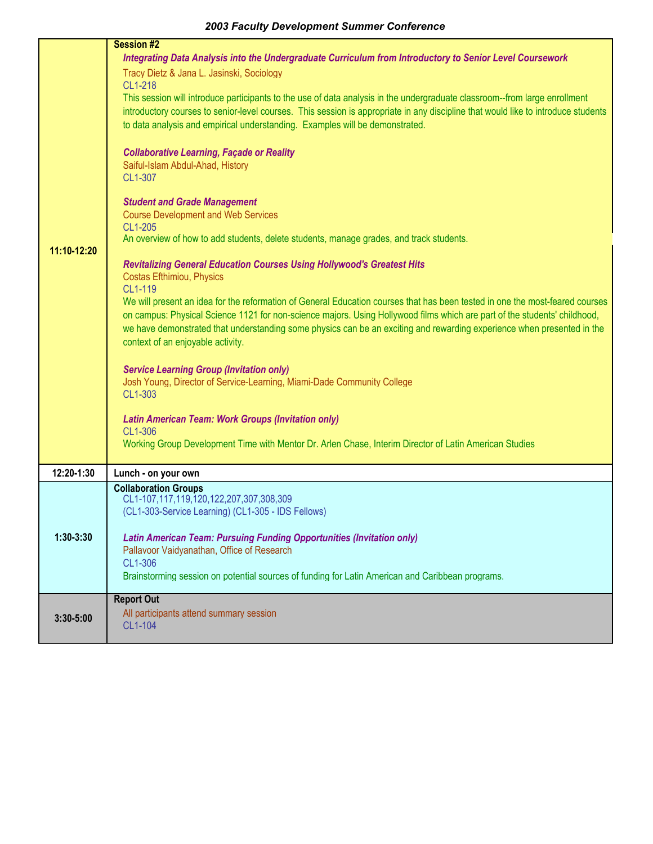|               | <b>Session #2</b>                                                                                                                 |
|---------------|-----------------------------------------------------------------------------------------------------------------------------------|
|               | Integrating Data Analysis into the Undergraduate Curriculum from Introductory to Senior Level Coursework                          |
|               | Tracy Dietz & Jana L. Jasinski, Sociology                                                                                         |
|               | CL1-218                                                                                                                           |
|               | This session will introduce participants to the use of data analysis in the undergraduate classroom--from large enrollment        |
|               | introductory courses to senior-level courses. This session is appropriate in any discipline that would like to introduce students |
|               | to data analysis and empirical understanding. Examples will be demonstrated.                                                      |
|               | <b>Collaborative Learning, Façade or Reality</b>                                                                                  |
|               | Saiful-Islam Abdul-Ahad, History<br>CL1-307                                                                                       |
|               | <b>Student and Grade Management</b>                                                                                               |
|               | <b>Course Development and Web Services</b>                                                                                        |
|               | CL1-205<br>An overview of how to add students, delete students, manage grades, and track students.                                |
| 11:10-12:20   | <b>Revitalizing General Education Courses Using Hollywood's Greatest Hits</b>                                                     |
|               | <b>Costas Efthimiou, Physics</b><br>CL1-119                                                                                       |
|               | We will present an idea for the reformation of General Education courses that has been tested in one the most-feared courses      |
|               | on campus: Physical Science 1121 for non-science majors. Using Hollywood films which are part of the students' childhood,         |
|               | we have demonstrated that understanding some physics can be an exciting and rewarding experience when presented in the            |
|               | context of an enjoyable activity.                                                                                                 |
|               | <b>Service Learning Group (Invitation only)</b>                                                                                   |
|               | Josh Young, Director of Service-Learning, Miami-Dade Community College                                                            |
|               | CL1-303                                                                                                                           |
|               | <b>Latin American Team: Work Groups (Invitation only)</b>                                                                         |
|               | CL1-306                                                                                                                           |
|               | Working Group Development Time with Mentor Dr. Arlen Chase, Interim Director of Latin American Studies                            |
| 12:20-1:30    | Lunch - on your own                                                                                                               |
|               | <b>Collaboration Groups</b>                                                                                                       |
|               | CL1-107,117,119,120,122,207,307,308,309<br>(CL1-303-Service Learning) (CL1-305 - IDS Fellows)                                     |
|               |                                                                                                                                   |
| $1:30-3:30$   | <b>Latin American Team: Pursuing Funding Opportunities (Invitation only)</b>                                                      |
|               | Pallavoor Vaidyanathan, Office of Research                                                                                        |
|               | CL1-306                                                                                                                           |
|               | Brainstorming session on potential sources of funding for Latin American and Caribbean programs.                                  |
|               | <b>Report Out</b>                                                                                                                 |
| $3:30 - 5:00$ | All participants attend summary session                                                                                           |
|               | CL1-104                                                                                                                           |
|               |                                                                                                                                   |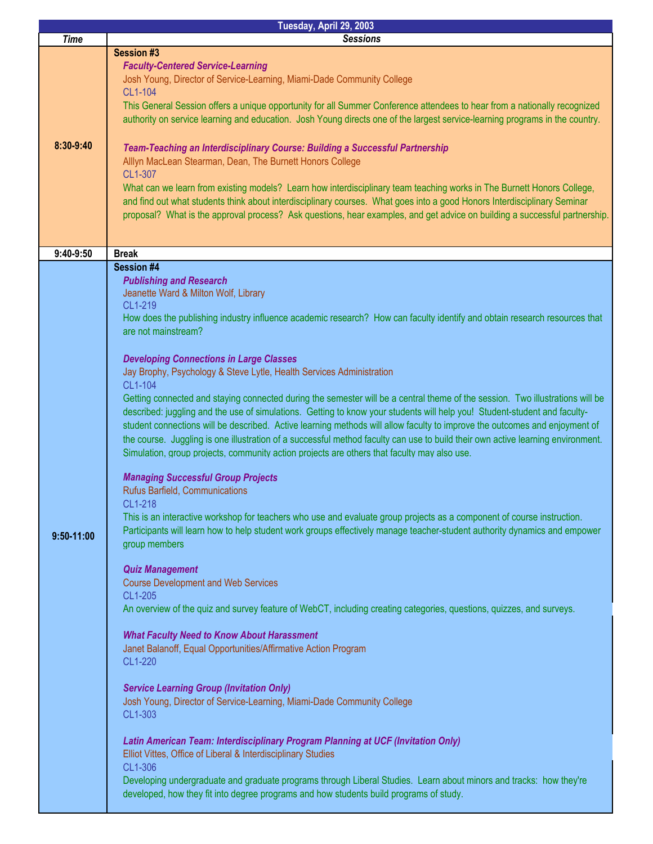|                | Tuesday, April 29, 2003                                                                                                                                                                                                                                                                                                                                                                                                                                                                                                                                                                                                                                                                                                                                                                                                                                                                                                                                                                                                                                                                                                                                                                                                                                                                                                                                                                                                                                                                                                                                                                                                                                                                                                                                                                                                                                                                                                                                                                                                                                                                                                                                                                                                                                      |
|----------------|--------------------------------------------------------------------------------------------------------------------------------------------------------------------------------------------------------------------------------------------------------------------------------------------------------------------------------------------------------------------------------------------------------------------------------------------------------------------------------------------------------------------------------------------------------------------------------------------------------------------------------------------------------------------------------------------------------------------------------------------------------------------------------------------------------------------------------------------------------------------------------------------------------------------------------------------------------------------------------------------------------------------------------------------------------------------------------------------------------------------------------------------------------------------------------------------------------------------------------------------------------------------------------------------------------------------------------------------------------------------------------------------------------------------------------------------------------------------------------------------------------------------------------------------------------------------------------------------------------------------------------------------------------------------------------------------------------------------------------------------------------------------------------------------------------------------------------------------------------------------------------------------------------------------------------------------------------------------------------------------------------------------------------------------------------------------------------------------------------------------------------------------------------------------------------------------------------------------------------------------------------------|
| <b>Time</b>    | <b>Sessions</b>                                                                                                                                                                                                                                                                                                                                                                                                                                                                                                                                                                                                                                                                                                                                                                                                                                                                                                                                                                                                                                                                                                                                                                                                                                                                                                                                                                                                                                                                                                                                                                                                                                                                                                                                                                                                                                                                                                                                                                                                                                                                                                                                                                                                                                              |
| 8:30-9:40      | Session #3<br><b>Faculty-Centered Service-Learning</b><br>Josh Young, Director of Service-Learning, Miami-Dade Community College<br>CL1-104<br>This General Session offers a unique opportunity for all Summer Conference attendees to hear from a nationally recognized<br>authority on service learning and education. Josh Young directs one of the largest service-learning programs in the country.<br>Team-Teaching an Interdisciplinary Course: Building a Successful Partnership<br>Alllyn MacLean Stearman, Dean, The Burnett Honors College<br>CL1-307<br>What can we learn from existing models? Learn how interdisciplinary team teaching works in The Burnett Honors College,<br>and find out what students think about interdisciplinary courses. What goes into a good Honors Interdisciplinary Seminar<br>proposal? What is the approval process? Ask questions, hear examples, and get advice on building a successful partnership.                                                                                                                                                                                                                                                                                                                                                                                                                                                                                                                                                                                                                                                                                                                                                                                                                                                                                                                                                                                                                                                                                                                                                                                                                                                                                                         |
| $9:40-9:50$    | <b>Break</b>                                                                                                                                                                                                                                                                                                                                                                                                                                                                                                                                                                                                                                                                                                                                                                                                                                                                                                                                                                                                                                                                                                                                                                                                                                                                                                                                                                                                                                                                                                                                                                                                                                                                                                                                                                                                                                                                                                                                                                                                                                                                                                                                                                                                                                                 |
| $9:50 - 11:00$ | Session #4<br><b>Publishing and Research</b><br>Jeanette Ward & Milton Wolf, Library<br>CL1-219<br>How does the publishing industry influence academic research? How can faculty identify and obtain research resources that<br>are not mainstream?<br><b>Developing Connections in Large Classes</b><br>Jay Brophy, Psychology & Steve Lytle, Health Services Administration<br>CL1-104<br>Getting connected and staying connected during the semester will be a central theme of the session. Two illustrations will be<br>described: juggling and the use of simulations. Getting to know your students will help you! Student-student and faculty-<br>student connections will be described. Active learning methods will allow faculty to improve the outcomes and enjoyment of<br>the course. Juggling is one illustration of a successful method faculty can use to build their own active learning environment.<br>Simulation, group projects, community action projects are others that faculty may also use.<br><b>Managing Successful Group Projects</b><br>Rufus Barfield, Communications<br>CL1-218<br>This is an interactive workshop for teachers who use and evaluate group projects as a component of course instruction.<br>Participants will learn how to help student work groups effectively manage teacher-student authority dynamics and empower<br>group members<br><b>Quiz Management</b><br><b>Course Development and Web Services</b><br>CL1-205<br>An overview of the quiz and survey feature of WebCT, including creating categories, questions, quizzes, and surveys.<br><b>What Faculty Need to Know About Harassment</b><br>Janet Balanoff, Equal Opportunities/Affirmative Action Program<br>CL1-220<br><b>Service Learning Group (Invitation Only)</b><br>Josh Young, Director of Service-Learning, Miami-Dade Community College<br>CL1-303<br>Latin American Team: Interdisciplinary Program Planning at UCF (Invitation Only)<br>Elliot Vittes, Office of Liberal & Interdisciplinary Studies<br>CL1-306<br>Developing undergraduate and graduate programs through Liberal Studies. Learn about minors and tracks: how they're<br>developed, how they fit into degree programs and how students build programs of study. |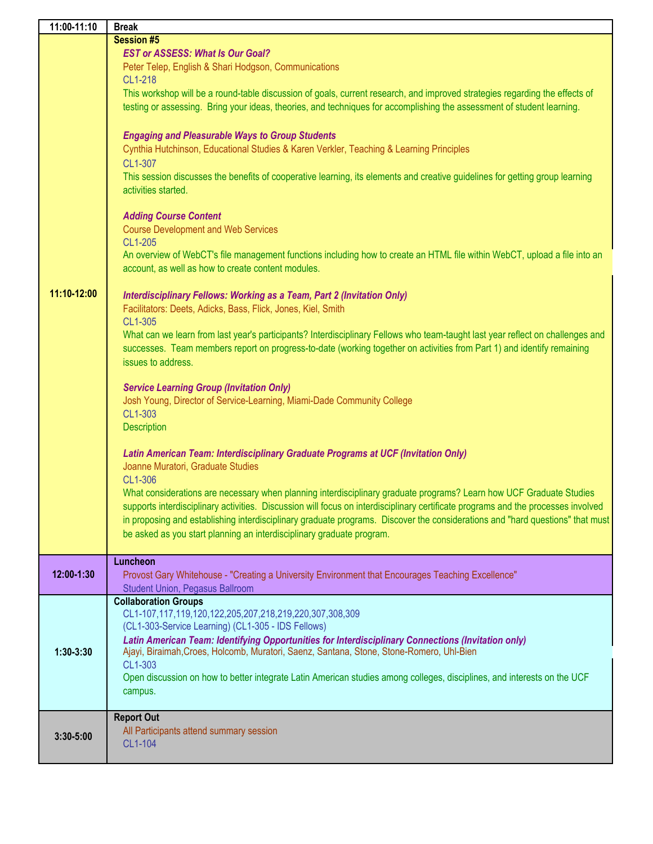| 11:00-11:10 | <b>Break</b>                                                                                                                                                                                                                                             |
|-------------|----------------------------------------------------------------------------------------------------------------------------------------------------------------------------------------------------------------------------------------------------------|
|             | <b>Session #5</b>                                                                                                                                                                                                                                        |
|             | <b>EST or ASSESS: What Is Our Goal?</b>                                                                                                                                                                                                                  |
|             | Peter Telep, English & Shari Hodgson, Communications                                                                                                                                                                                                     |
|             | CL1-218                                                                                                                                                                                                                                                  |
|             | This workshop will be a round-table discussion of goals, current research, and improved strategies regarding the effects of                                                                                                                              |
|             | testing or assessing. Bring your ideas, theories, and techniques for accomplishing the assessment of student learning.                                                                                                                                   |
|             |                                                                                                                                                                                                                                                          |
|             | <b>Engaging and Pleasurable Ways to Group Students</b>                                                                                                                                                                                                   |
|             | Cynthia Hutchinson, Educational Studies & Karen Verkler, Teaching & Learning Principles                                                                                                                                                                  |
|             | CL1-307                                                                                                                                                                                                                                                  |
|             | This session discusses the benefits of cooperative learning, its elements and creative guidelines for getting group learning<br>activities started.                                                                                                      |
|             |                                                                                                                                                                                                                                                          |
|             | <b>Adding Course Content</b>                                                                                                                                                                                                                             |
|             | <b>Course Development and Web Services</b>                                                                                                                                                                                                               |
|             | CL1-205                                                                                                                                                                                                                                                  |
|             | An overview of WebCT's file management functions including how to create an HTML file within WebCT, upload a file into an                                                                                                                                |
|             | account, as well as how to create content modules.                                                                                                                                                                                                       |
|             |                                                                                                                                                                                                                                                          |
| 11:10-12:00 | Interdisciplinary Fellows: Working as a Team, Part 2 (Invitation Only)                                                                                                                                                                                   |
|             | Facilitators: Deets, Adicks, Bass, Flick, Jones, Kiel, Smith                                                                                                                                                                                             |
|             | CL1-305                                                                                                                                                                                                                                                  |
|             | What can we learn from last year's participants? Interdisciplinary Fellows who team-taught last year reflect on challenges and<br>successes. Team members report on progress-to-date (working together on activities from Part 1) and identify remaining |
|             | issues to address.                                                                                                                                                                                                                                       |
|             |                                                                                                                                                                                                                                                          |
|             | <b>Service Learning Group (Invitation Only)</b>                                                                                                                                                                                                          |
|             | Josh Young, Director of Service-Learning, Miami-Dade Community College                                                                                                                                                                                   |
|             | CL1-303                                                                                                                                                                                                                                                  |
|             | <b>Description</b>                                                                                                                                                                                                                                       |
|             |                                                                                                                                                                                                                                                          |
|             | Latin American Team: Interdisciplinary Graduate Programs at UCF (Invitation Only)                                                                                                                                                                        |
|             | Joanne Muratori, Graduate Studies                                                                                                                                                                                                                        |
|             | CL1-306                                                                                                                                                                                                                                                  |
|             | What considerations are necessary when planning interdisciplinary graduate programs? Learn how UCF Graduate Studies<br>supports interdisciplinary activities. Discussion will focus on interdisciplinary certificate programs and the processes involved |
|             | in proposing and establishing interdisciplinary graduate programs. Discover the considerations and "hard questions" that must                                                                                                                            |
|             | be asked as you start planning an interdisciplinary graduate program.                                                                                                                                                                                    |
|             |                                                                                                                                                                                                                                                          |
|             | Luncheon                                                                                                                                                                                                                                                 |
| 12:00-1:30  | Provost Gary Whitehouse - "Creating a University Environment that Encourages Teaching Excellence"                                                                                                                                                        |
|             | <b>Student Union, Pegasus Ballroom</b>                                                                                                                                                                                                                   |
|             | <b>Collaboration Groups</b>                                                                                                                                                                                                                              |
|             | CL1-107,117,119,120,122,205,207,218,219,220,307,308,309<br>(CL1-303-Service Learning) (CL1-305 - IDS Fellows)                                                                                                                                            |
|             | Latin American Team: Identifying Opportunities for Interdisciplinary Connections (Invitation only)                                                                                                                                                       |
| $1:30-3:30$ | Ajayi, Biraimah, Croes, Holcomb, Muratori, Saenz, Santana, Stone, Stone-Romero, Uhl-Bien                                                                                                                                                                 |
|             | CL1-303                                                                                                                                                                                                                                                  |
|             | Open discussion on how to better integrate Latin American studies among colleges, disciplines, and interests on the UCF                                                                                                                                  |
|             | campus.                                                                                                                                                                                                                                                  |
|             | <b>Report Out</b>                                                                                                                                                                                                                                        |
|             | All Participants attend summary session                                                                                                                                                                                                                  |
| 3:30-5:00   | CL1-104                                                                                                                                                                                                                                                  |
|             |                                                                                                                                                                                                                                                          |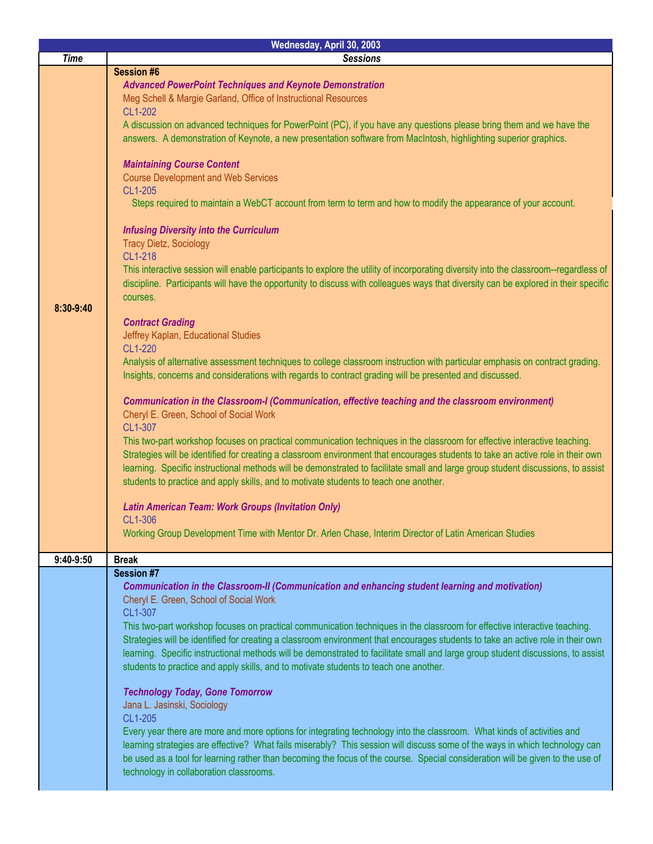|             | Wednesday, April 30, 2003                                                                                                             |
|-------------|---------------------------------------------------------------------------------------------------------------------------------------|
| <b>Time</b> | <b>Sessions</b>                                                                                                                       |
|             | Session #6                                                                                                                            |
|             | <b>Advanced PowerPoint Techniques and Keynote Demonstration</b>                                                                       |
|             | Meg Schell & Margie Garland, Office of Instructional Resources                                                                        |
|             | CL1-202                                                                                                                               |
|             | A discussion on advanced techniques for PowerPoint (PC), if you have any questions please bring them and we have the                  |
|             | answers. A demonstration of Keynote, a new presentation software from MacIntosh, highlighting superior graphics.                      |
|             |                                                                                                                                       |
|             | <b>Maintaining Course Content</b>                                                                                                     |
|             | <b>Course Development and Web Services</b>                                                                                            |
|             | CL1-205                                                                                                                               |
|             | Steps required to maintain a WebCT account from term to term and how to modify the appearance of your account.                        |
|             |                                                                                                                                       |
|             | <b>Infusing Diversity into the Curriculum</b>                                                                                         |
|             | <b>Tracy Dietz, Sociology</b>                                                                                                         |
|             | CL1-218                                                                                                                               |
|             | This interactive session will enable participants to explore the utility of incorporating diversity into the classroom--regardless of |
|             | discipline. Participants will have the opportunity to discuss with colleagues ways that diversity can be explored in their specific   |
|             | courses.                                                                                                                              |
| $8:30-9:40$ |                                                                                                                                       |
|             | <b>Contract Grading</b>                                                                                                               |
|             | Jeffrey Kaplan, Educational Studies                                                                                                   |
|             | CL1-220                                                                                                                               |
|             | Analysis of alternative assessment techniques to college classroom instruction with particular emphasis on contract grading.          |
|             | Insights, concerns and considerations with regards to contract grading will be presented and discussed.                               |
|             | Communication in the Classroom-I (Communication, effective teaching and the classroom environment)                                    |
|             | Cheryl E. Green, School of Social Work                                                                                                |
|             | CL1-307                                                                                                                               |
|             | This two-part workshop focuses on practical communication techniques in the classroom for effective interactive teaching.             |
|             | Strategies will be identified for creating a classroom environment that encourages students to take an active role in their own       |
|             | learning. Specific instructional methods will be demonstrated to facilitate small and large group student discussions, to assist      |
|             | students to practice and apply skills, and to motivate students to teach one another.                                                 |
|             |                                                                                                                                       |
|             | <b>Latin American Team: Work Groups (Invitation Only)</b>                                                                             |
|             | CL1-306                                                                                                                               |
|             | Working Group Development Time with Mentor Dr. Arlen Chase, Interim Director of Latin American Studies                                |
|             |                                                                                                                                       |
| $9:40-9:50$ | <b>Break</b>                                                                                                                          |
|             | Session #7                                                                                                                            |
|             | Communication in the Classroom-II (Communication and enhancing student learning and motivation)                                       |
|             | Cheryl E. Green, School of Social Work                                                                                                |
|             | CL1-307                                                                                                                               |
|             | This two-part workshop focuses on practical communication techniques in the classroom for effective interactive teaching.             |
|             | Strategies will be identified for creating a classroom environment that encourages students to take an active role in their own       |
|             | learning. Specific instructional methods will be demonstrated to facilitate small and large group student discussions, to assist      |
|             | students to practice and apply skills, and to motivate students to teach one another.                                                 |
|             |                                                                                                                                       |
|             | <b>Technology Today, Gone Tomorrow</b>                                                                                                |
|             | Jana L. Jasinski, Sociology                                                                                                           |
|             | CL1-205                                                                                                                               |
|             | Every year there are more and more options for integrating technology into the classroom. What kinds of activities and                |
|             | learning strategies are effective? What fails miserably? This session will discuss some of the ways in which technology can           |
|             | be used as a tool for learning rather than becoming the focus of the course. Special consideration will be given to the use of        |
|             | technology in collaboration classrooms.                                                                                               |
|             |                                                                                                                                       |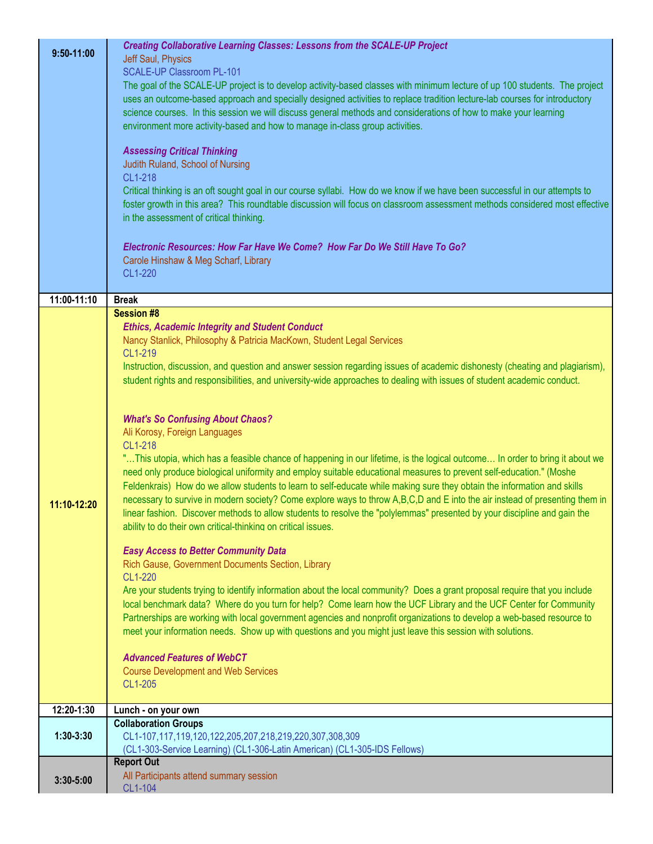| $9:50 - 11:00$ | <b>Creating Collaborative Learning Classes: Lessons from the SCALE-UP Project</b><br>Jeff Saul, Physics                                                                                                                                                  |
|----------------|----------------------------------------------------------------------------------------------------------------------------------------------------------------------------------------------------------------------------------------------------------|
|                | SCALE-UP Classroom PL-101                                                                                                                                                                                                                                |
|                | The goal of the SCALE-UP project is to develop activity-based classes with minimum lecture of up 100 students. The project<br>uses an outcome-based approach and specially designed activities to replace tradition lecture-lab courses for introductory |
|                | science courses. In this session we will discuss general methods and considerations of how to make your learning                                                                                                                                         |
|                | environment more activity-based and how to manage in-class group activities.                                                                                                                                                                             |
|                | <b>Assessing Critical Thinking</b>                                                                                                                                                                                                                       |
|                | Judith Ruland, School of Nursing<br>CL1-218                                                                                                                                                                                                              |
|                | Critical thinking is an oft sought goal in our course syllabi. How do we know if we have been successful in our attempts to                                                                                                                              |
|                | foster growth in this area? This roundtable discussion will focus on classroom assessment methods considered most effective<br>in the assessment of critical thinking.                                                                                   |
|                |                                                                                                                                                                                                                                                          |
|                | Electronic Resources: How Far Have We Come? How Far Do We Still Have To Go?                                                                                                                                                                              |
|                | Carole Hinshaw & Meg Scharf, Library<br>CL1-220                                                                                                                                                                                                          |
| 11:00-11:10    | <b>Break</b>                                                                                                                                                                                                                                             |
|                | <b>Session #8</b>                                                                                                                                                                                                                                        |
|                | <b>Ethics, Academic Integrity and Student Conduct</b>                                                                                                                                                                                                    |
|                | Nancy Stanlick, Philosophy & Patricia MacKown, Student Legal Services<br>CL1-219                                                                                                                                                                         |
|                | Instruction, discussion, and question and answer session regarding issues of academic dishonesty (cheating and plagiarism),                                                                                                                              |
|                | student rights and responsibilities, and university-wide approaches to dealing with issues of student academic conduct.                                                                                                                                  |
|                |                                                                                                                                                                                                                                                          |
|                | <b>What's So Confusing About Chaos?</b><br>Ali Korosy, Foreign Languages                                                                                                                                                                                 |
|                | CL1-218                                                                                                                                                                                                                                                  |
|                | "This utopia, which has a feasible chance of happening in our lifetime, is the logical outcome In order to bring it about we<br>need only produce biological uniformity and employ suitable educational measures to prevent self-education." (Moshe      |
|                | Feldenkrais) How do we allow students to learn to self-educate while making sure they obtain the information and skills                                                                                                                                  |
| 11:10-12:20    | necessary to survive in modern society? Come explore ways to throw A,B,C,D and E into the air instead of presenting them in<br>linear fashion. Discover methods to allow students to resolve the "polylemmas" presented by your discipline and gain the  |
|                | ability to do their own critical-thinking on critical issues.                                                                                                                                                                                            |
|                | <b>Easy Access to Better Community Data</b>                                                                                                                                                                                                              |
|                | Rich Gause, Government Documents Section, Library<br>CL1-220                                                                                                                                                                                             |
|                | Are your students trying to identify information about the local community? Does a grant proposal require that you include                                                                                                                               |
|                | local benchmark data? Where do you turn for help? Come learn how the UCF Library and the UCF Center for Community                                                                                                                                        |
|                | Partnerships are working with local government agencies and nonprofit organizations to develop a web-based resource to<br>meet your information needs. Show up with questions and you might just leave this session with solutions.                      |
|                | <b>Advanced Features of WebCT</b>                                                                                                                                                                                                                        |
|                | <b>Course Development and Web Services</b>                                                                                                                                                                                                               |
|                | CL1-205                                                                                                                                                                                                                                                  |
| 12:20-1:30     | Lunch - on your own                                                                                                                                                                                                                                      |
| $1:30-3:30$    | <b>Collaboration Groups</b><br>CL1-107,117,119,120,122,205,207,218,219,220,307,308,309                                                                                                                                                                   |
|                | (CL1-303-Service Learning) (CL1-306-Latin American) (CL1-305-IDS Fellows)                                                                                                                                                                                |
|                | <b>Report Out</b>                                                                                                                                                                                                                                        |
| 3:30-5:00      | All Participants attend summary session<br>CL1-104                                                                                                                                                                                                       |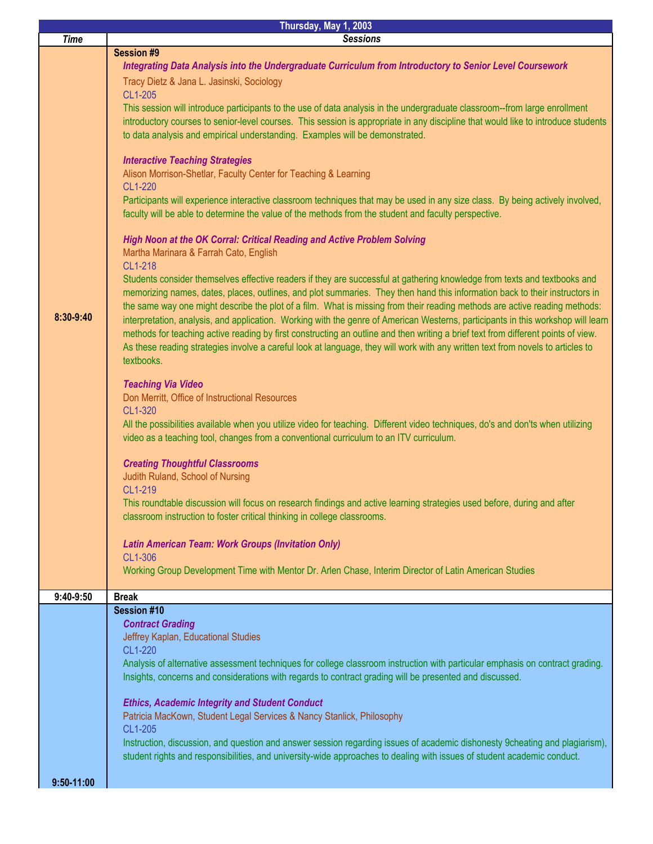|                          | Thursday, May 1, 2003                                                                                                                                                                                                                                                                                                                                                                                                                                                                                                                                                                                                                                                                                                                                                                                                                                                                                                                                                                                                                                                                                                                                                                                                                                                                                                                                                                                                                                                                                                                                                                                                                                                                                                                                                                                                                                                                                                                                                                                                                                                                                                                                                                                                                                                                                                                                                                                               |
|--------------------------|---------------------------------------------------------------------------------------------------------------------------------------------------------------------------------------------------------------------------------------------------------------------------------------------------------------------------------------------------------------------------------------------------------------------------------------------------------------------------------------------------------------------------------------------------------------------------------------------------------------------------------------------------------------------------------------------------------------------------------------------------------------------------------------------------------------------------------------------------------------------------------------------------------------------------------------------------------------------------------------------------------------------------------------------------------------------------------------------------------------------------------------------------------------------------------------------------------------------------------------------------------------------------------------------------------------------------------------------------------------------------------------------------------------------------------------------------------------------------------------------------------------------------------------------------------------------------------------------------------------------------------------------------------------------------------------------------------------------------------------------------------------------------------------------------------------------------------------------------------------------------------------------------------------------------------------------------------------------------------------------------------------------------------------------------------------------------------------------------------------------------------------------------------------------------------------------------------------------------------------------------------------------------------------------------------------------------------------------------------------------------------------------------------------------|
|                          |                                                                                                                                                                                                                                                                                                                                                                                                                                                                                                                                                                                                                                                                                                                                                                                                                                                                                                                                                                                                                                                                                                                                                                                                                                                                                                                                                                                                                                                                                                                                                                                                                                                                                                                                                                                                                                                                                                                                                                                                                                                                                                                                                                                                                                                                                                                                                                                                                     |
| <b>Time</b><br>8:30-9:40 | <b>Sessions</b><br>Session #9<br>Integrating Data Analysis into the Undergraduate Curriculum from Introductory to Senior Level Coursework<br>Tracy Dietz & Jana L. Jasinski, Sociology<br>CL1-205<br>This session will introduce participants to the use of data analysis in the undergraduate classroom--from large enrollment<br>introductory courses to senior-level courses. This session is appropriate in any discipline that would like to introduce students<br>to data analysis and empirical understanding. Examples will be demonstrated.<br><b>Interactive Teaching Strategies</b><br>Alison Morrison-Shetlar, Faculty Center for Teaching & Learning<br>CL1-220<br>Participants will experience interactive classroom techniques that may be used in any size class. By being actively involved,<br>faculty will be able to determine the value of the methods from the student and faculty perspective.<br>High Noon at the OK Corral: Critical Reading and Active Problem Solving<br>Martha Marinara & Farrah Cato, English<br>CL1-218<br>Students consider themselves effective readers if they are successful at gathering knowledge from texts and textbooks and<br>memorizing names, dates, places, outlines, and plot summaries. They then hand this information back to their instructors in<br>the same way one might describe the plot of a film. What is missing from their reading methods are active reading methods:<br>interpretation, analysis, and application. Working with the genre of American Westerns, participants in this workshop will learn<br>methods for teaching active reading by first constructing an outline and then writing a brief text from different points of view.<br>As these reading strategies involve a careful look at language, they will work with any written text from novels to articles to<br>textbooks.<br><b>Teaching Via Video</b><br>Don Merritt, Office of Instructional Resources<br>CL1-320<br>All the possibilities available when you utilize video for teaching. Different video techniques, do's and don'ts when utilizing<br>video as a teaching tool, changes from a conventional curriculum to an ITV curriculum.<br><b>Creating Thoughtful Classrooms</b><br>Judith Ruland, School of Nursing<br>CL1-219<br>This roundtable discussion will focus on research findings and active learning strategies used before, during and after |
|                          | classroom instruction to foster critical thinking in college classrooms.<br><b>Latin American Team: Work Groups (Invitation Only)</b><br>CL1-306<br>Working Group Development Time with Mentor Dr. Arlen Chase, Interim Director of Latin American Studies                                                                                                                                                                                                                                                                                                                                                                                                                                                                                                                                                                                                                                                                                                                                                                                                                                                                                                                                                                                                                                                                                                                                                                                                                                                                                                                                                                                                                                                                                                                                                                                                                                                                                                                                                                                                                                                                                                                                                                                                                                                                                                                                                          |
| 9:40-9:50                | <b>Break</b>                                                                                                                                                                                                                                                                                                                                                                                                                                                                                                                                                                                                                                                                                                                                                                                                                                                                                                                                                                                                                                                                                                                                                                                                                                                                                                                                                                                                                                                                                                                                                                                                                                                                                                                                                                                                                                                                                                                                                                                                                                                                                                                                                                                                                                                                                                                                                                                                        |
|                          | Session #10<br><b>Contract Grading</b><br>Jeffrey Kaplan, Educational Studies                                                                                                                                                                                                                                                                                                                                                                                                                                                                                                                                                                                                                                                                                                                                                                                                                                                                                                                                                                                                                                                                                                                                                                                                                                                                                                                                                                                                                                                                                                                                                                                                                                                                                                                                                                                                                                                                                                                                                                                                                                                                                                                                                                                                                                                                                                                                       |
|                          | CL1-220<br>Analysis of alternative assessment techniques for college classroom instruction with particular emphasis on contract grading.<br>Insights, concerns and considerations with regards to contract grading will be presented and discussed.                                                                                                                                                                                                                                                                                                                                                                                                                                                                                                                                                                                                                                                                                                                                                                                                                                                                                                                                                                                                                                                                                                                                                                                                                                                                                                                                                                                                                                                                                                                                                                                                                                                                                                                                                                                                                                                                                                                                                                                                                                                                                                                                                                 |
|                          | <b>Ethics, Academic Integrity and Student Conduct</b><br>Patricia MacKown, Student Legal Services & Nancy Stanlick, Philosophy<br>CL1-205<br>Instruction, discussion, and question and answer session regarding issues of academic dishonesty 9cheating and plagiarism),                                                                                                                                                                                                                                                                                                                                                                                                                                                                                                                                                                                                                                                                                                                                                                                                                                                                                                                                                                                                                                                                                                                                                                                                                                                                                                                                                                                                                                                                                                                                                                                                                                                                                                                                                                                                                                                                                                                                                                                                                                                                                                                                            |
| $9:50 - 11:00$           | student rights and responsibilities, and university-wide approaches to dealing with issues of student academic conduct.                                                                                                                                                                                                                                                                                                                                                                                                                                                                                                                                                                                                                                                                                                                                                                                                                                                                                                                                                                                                                                                                                                                                                                                                                                                                                                                                                                                                                                                                                                                                                                                                                                                                                                                                                                                                                                                                                                                                                                                                                                                                                                                                                                                                                                                                                             |